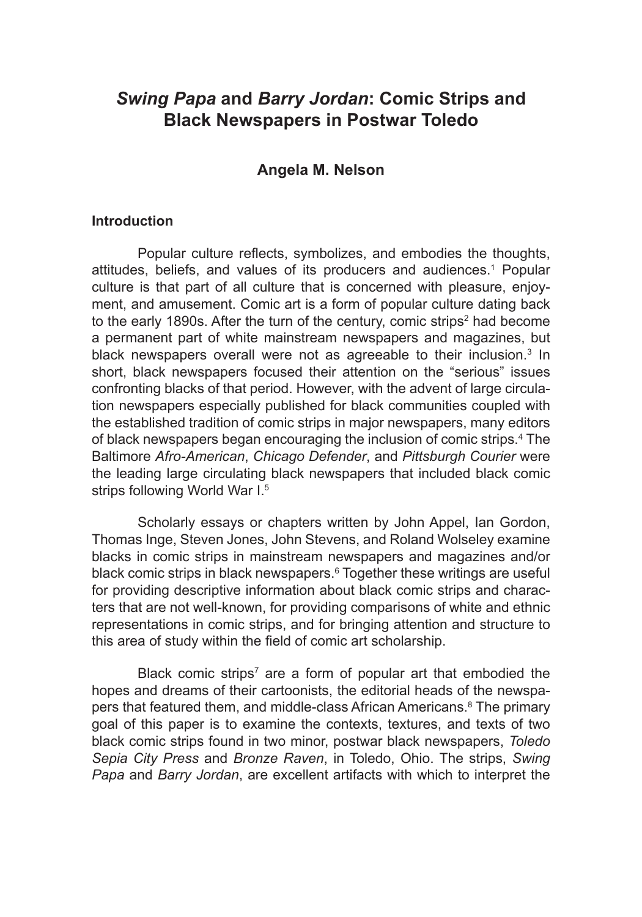# *Swing Papa* **and** *Barry Jordan***: Comic Strips and Black Newspapers in Postwar Toledo**

## **Angela M. Nelson**

#### **Introduction**

Popular culture reflects, symbolizes, and embodies the thoughts, attitudes, beliefs, and values of its producers and audiences.<sup>1</sup> Popular culture is that part of all culture that is concerned with pleasure, enjoyment, and amusement. Comic art is a form of popular culture dating back to the early 1890s. After the turn of the century, comic strips<sup>2</sup> had become a permanent part of white mainstream newspapers and magazines, but black newspapers overall were not as agreeable to their inclusion.<sup>3</sup> In short, black newspapers focused their attention on the "serious" issues confronting blacks of that period. However, with the advent of large circulation newspapers especially published for black communities coupled with the established tradition of comic strips in major newspapers, many editors of black newspapers began encouraging the inclusion of comic strips.<sup>4</sup> The Baltimore *Afro-American*, *Chicago Defender*, and *Pittsburgh Courier* were the leading large circulating black newspapers that included black comic strips following World War I.<sup>5</sup>

Scholarly essays or chapters written by John Appel, Ian Gordon, Thomas Inge, Steven Jones, John Stevens, and Roland Wolseley examine blacks in comic strips in mainstream newspapers and magazines and/or black comic strips in black newspapers.<sup>6</sup> Together these writings are useful for providing descriptive information about black comic strips and characters that are not well-known, for providing comparisons of white and ethnic representations in comic strips, and for bringing attention and structure to this area of study within the field of comic art scholarship.

Black comic strips<sup>7</sup> are a form of popular art that embodied the hopes and dreams of their cartoonists, the editorial heads of the newspapers that featured them, and middle-class African Americans.<sup>8</sup> The primary goal of this paper is to examine the contexts, textures, and texts of two black comic strips found in two minor, postwar black newspapers, *Toledo Sepia City Press* and *Bronze Raven*, in Toledo, Ohio. The strips, *Swing Papa* and *Barry Jordan*, are excellent artifacts with which to interpret the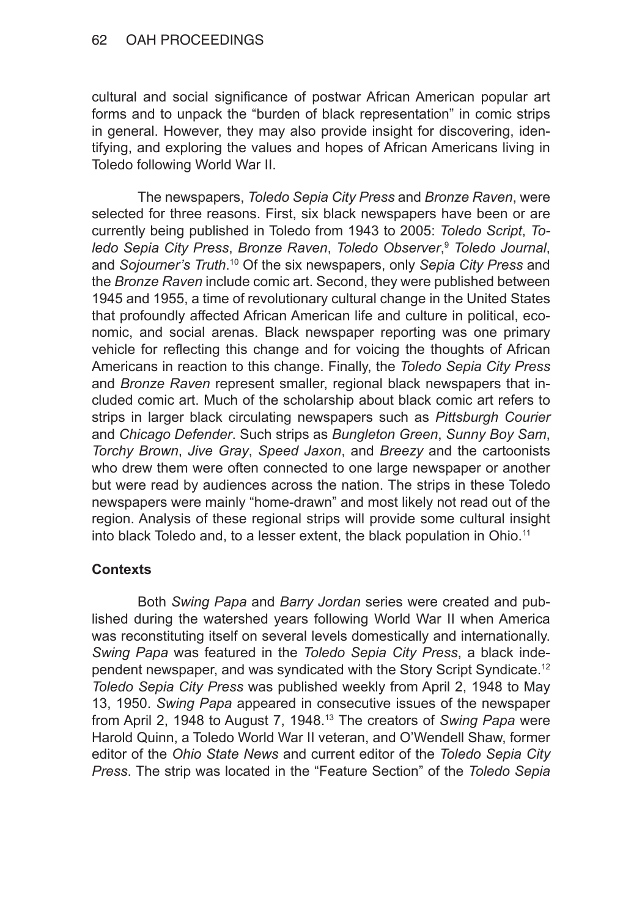cultural and social significance of postwar African American popular art forms and to unpack the "burden of black representation" in comic strips in general. However, they may also provide insight for discovering, identifying, and exploring the values and hopes of African Americans living in Toledo following World War II.

The newspapers, *Toledo Sepia City Press* and *Bronze Raven*, were selected for three reasons. First, six black newspapers have been or are currently being published in Toledo from 1943 to 2005: *Toledo Script*, *Toledo Sepia City Press*, *Bronze Raven*, *Toledo Observer*, <sup>9</sup> *Toledo Journal*, and *Sojourner's Truth*. 10 Of the six newspapers, only *Sepia City Press* and the *Bronze Raven* include comic art. Second, they were published between 1945 and 1955, a time of revolutionary cultural change in the United States that profoundly affected African American life and culture in political, economic, and social arenas. Black newspaper reporting was one primary vehicle for reflecting this change and for voicing the thoughts of African Americans in reaction to this change. Finally, the *Toledo Sepia City Press* and *Bronze Raven* represent smaller, regional black newspapers that included comic art. Much of the scholarship about black comic art refers to strips in larger black circulating newspapers such as *Pittsburgh Courier* and *Chicago Defender*. Such strips as *Bungleton Green*, *Sunny Boy Sam*, *Torchy Brown*, *Jive Gray*, *Speed Jaxon*, and *Breezy* and the cartoonists who drew them were often connected to one large newspaper or another but were read by audiences across the nation. The strips in these Toledo newspapers were mainly "home-drawn" and most likely not read out of the region. Analysis of these regional strips will provide some cultural insight into black Toledo and, to a lesser extent, the black population in Ohio.<sup>11</sup>

# **Contexts**

Both *Swing Papa* and *Barry Jordan* series were created and published during the watershed years following World War II when America was reconstituting itself on several levels domestically and internationally. *Swing Papa* was featured in the *Toledo Sepia City Press*, a black independent newspaper, and was syndicated with the Story Script Syndicate.<sup>12</sup> *Toledo Sepia City Press* was published weekly from April 2, 1948 to May 13, 1950. *Swing Papa* appeared in consecutive issues of the newspaper from April 2, 1948 to August 7, 1948.13 The creators of *Swing Papa* were Harold Quinn, a Toledo World War II veteran, and O'Wendell Shaw, former editor of the *Ohio State News* and current editor of the *Toledo Sepia City Press*. The strip was located in the "Feature Section" of the *Toledo Sepia*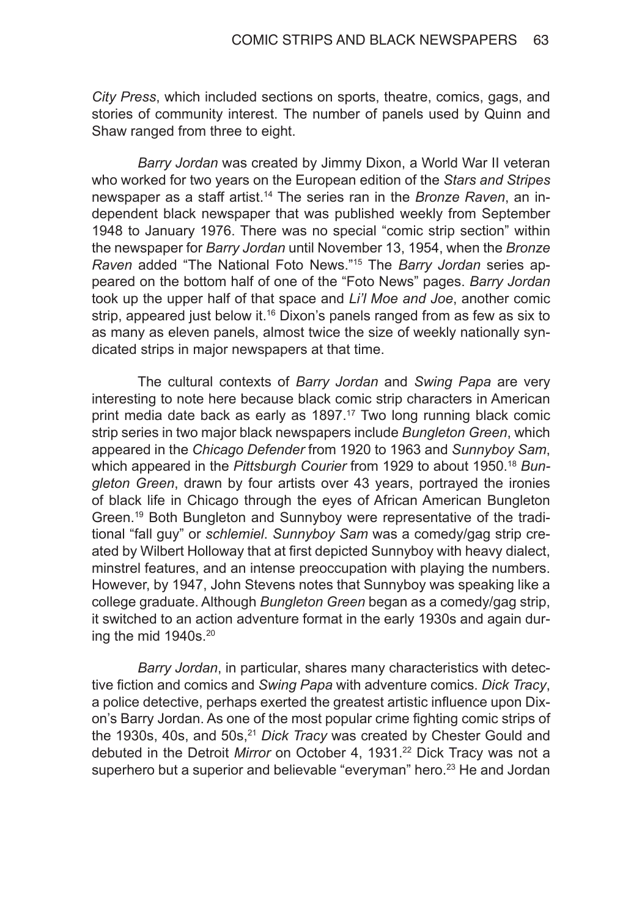*City Press*, which included sections on sports, theatre, comics, gags, and stories of community interest. The number of panels used by Quinn and Shaw ranged from three to eight.

*Barry Jordan* was created by Jimmy Dixon, a World War II veteran who worked for two years on the European edition of the *Stars and Stripes* newspaper as a staff artist.14 The series ran in the *Bronze Raven*, an independent black newspaper that was published weekly from September 1948 to January 1976. There was no special "comic strip section" within the newspaper for *Barry Jordan* until November 13, 1954, when the *Bronze Raven* added "The National Foto News."15 The *Barry Jordan* series appeared on the bottom half of one of the "Foto News" pages. *Barry Jordan* took up the upper half of that space and *Li'l Moe and Joe*, another comic strip, appeared just below it.<sup>16</sup> Dixon's panels ranged from as few as six to as many as eleven panels, almost twice the size of weekly nationally syndicated strips in major newspapers at that time.

The cultural contexts of *Barry Jordan* and *Swing Papa* are very interesting to note here because black comic strip characters in American print media date back as early as 1897.<sup>17</sup> Two long running black comic strip series in two major black newspapers include *Bungleton Green*, which appeared in the *Chicago Defender* from 1920 to 1963 and *Sunnyboy Sam*, which appeared in the *Pittsburgh Courier* from 1929 to about 1950.18 *Bungleton Green*, drawn by four artists over 43 years, portrayed the ironies of black life in Chicago through the eyes of African American Bungleton Green.19 Both Bungleton and Sunnyboy were representative of the traditional "fall guy" or *schlemiel*. *Sunnyboy Sam* was a comedy/gag strip created by Wilbert Holloway that at first depicted Sunnyboy with heavy dialect, minstrel features, and an intense preoccupation with playing the numbers. However, by 1947, John Stevens notes that Sunnyboy was speaking like a college graduate. Although *Bungleton Green* began as a comedy/gag strip, it switched to an action adventure format in the early 1930s and again during the mid 1940s.<sup>20</sup>

*Barry Jordan*, in particular, shares many characteristics with detective fiction and comics and *Swing Papa* with adventure comics. *Dick Tracy*, a police detective, perhaps exerted the greatest artistic influence upon Dixon's Barry Jordan. As one of the most popular crime fighting comic strips of the 1930s, 40s, and 50s,<sup>21</sup> *Dick Tracy* was created by Chester Gould and debuted in the Detroit Mirror on October 4, 1931.<sup>22</sup> Dick Tracy was not a superhero but a superior and believable "everyman" hero.<sup>23</sup> He and Jordan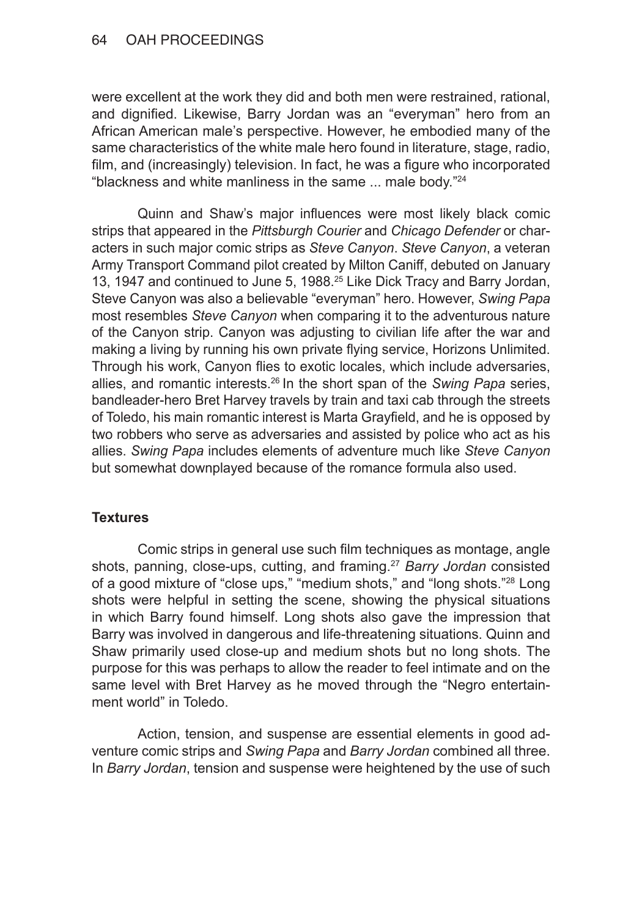were excellent at the work they did and both men were restrained, rational, and dignified. Likewise, Barry Jordan was an "everyman" hero from an African American male's perspective. However, he embodied many of the same characteristics of the white male hero found in literature, stage, radio, film, and (increasingly) television. In fact, he was a figure who incorporated "blackness and white manliness in the same  $\ldots$  male body."<sup>24</sup>

Quinn and Shaw's major influences were most likely black comic strips that appeared in the *Pittsburgh Courier* and *Chicago Defender* or characters in such major comic strips as *Steve Canyon*. *Steve Canyon*, a veteran Army Transport Command pilot created by Milton Caniff, debuted on January 13, 1947 and continued to June 5, 1988.<sup>25</sup> Like Dick Tracy and Barry Jordan, Steve Canyon was also a believable "everyman" hero. However, *Swing Papa* most resembles *Steve Canyon* when comparing it to the adventurous nature of the Canyon strip. Canyon was adjusting to civilian life after the war and making a living by running his own private flying service, Horizons Unlimited. Through his work, Canyon flies to exotic locales, which include adversaries, allies, and romantic interests.<sup>26</sup> In the short span of the *Swing Papa* series, bandleader-hero Bret Harvey travels by train and taxi cab through the streets of Toledo, his main romantic interest is Marta Grayfield, and he is opposed by two robbers who serve as adversaries and assisted by police who act as his allies. *Swing Papa* includes elements of adventure much like *Steve Canyon* but somewhat downplayed because of the romance formula also used.

### **Textures**

Comic strips in general use such film techniques as montage, angle shots, panning, close-ups, cutting, and framing.<sup>27</sup> *Barry Jordan* consisted of a good mixture of "close ups," "medium shots," and "long shots."28 Long shots were helpful in setting the scene, showing the physical situations in which Barry found himself. Long shots also gave the impression that Barry was involved in dangerous and life-threatening situations. Quinn and Shaw primarily used close-up and medium shots but no long shots. The purpose for this was perhaps to allow the reader to feel intimate and on the same level with Bret Harvey as he moved through the "Negro entertainment world" in Toledo.

Action, tension, and suspense are essential elements in good adventure comic strips and *Swing Papa* and *Barry Jordan* combined all three. In *Barry Jordan*, tension and suspense were heightened by the use of such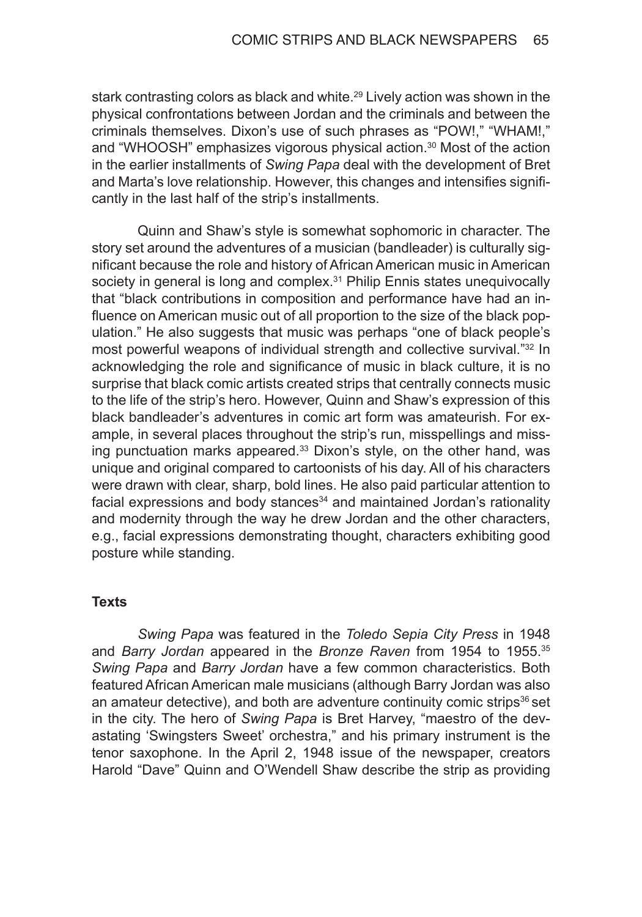stark contrasting colors as black and white.<sup>29</sup> Lively action was shown in the physical confrontations between Jordan and the criminals and between the criminals themselves. Dixon's use of such phrases as "POW!," "WHAM!," and "WHOOSH" emphasizes vigorous physical action.<sup>30</sup> Most of the action in the earlier installments of *Swing Papa* deal with the development of Bret and Marta's love relationship. However, this changes and intensifies significantly in the last half of the strip's installments.

Quinn and Shaw's style is somewhat sophomoric in character. The story set around the adventures of a musician (bandleader) is culturally significant because the role and history of African American music in American society in general is long and complex.<sup>31</sup> Philip Ennis states unequivocally that "black contributions in composition and performance have had an influence on American music out of all proportion to the size of the black population." He also suggests that music was perhaps "one of black people's most powerful weapons of individual strength and collective survival."32 In acknowledging the role and significance of music in black culture, it is no surprise that black comic artists created strips that centrally connects music to the life of the strip's hero. However, Quinn and Shaw's expression of this black bandleader's adventures in comic art form was amateurish. For example, in several places throughout the strip's run, misspellings and missing punctuation marks appeared.<sup>33</sup> Dixon's style, on the other hand, was unique and original compared to cartoonists of his day. All of his characters were drawn with clear, sharp, bold lines. He also paid particular attention to facial expressions and body stances<sup>34</sup> and maintained Jordan's rationality and modernity through the way he drew Jordan and the other characters, e.g., facial expressions demonstrating thought, characters exhibiting good posture while standing.

### **Texts**

*Swing Papa* was featured in the *Toledo Sepia City Press* in 1948 and *Barry Jordan* appeared in the *Bronze Raven* from 1954 to 1955.<sup>35</sup> *Swing Papa* and *Barry Jordan* have a few common characteristics. Both featured African American male musicians (although Barry Jordan was also an amateur detective), and both are adventure continuity comic strips $36$  set in the city. The hero of *Swing Papa* is Bret Harvey, "maestro of the devastating 'Swingsters Sweet' orchestra," and his primary instrument is the tenor saxophone. In the April 2, 1948 issue of the newspaper, creators Harold "Dave" Quinn and O'Wendell Shaw describe the strip as providing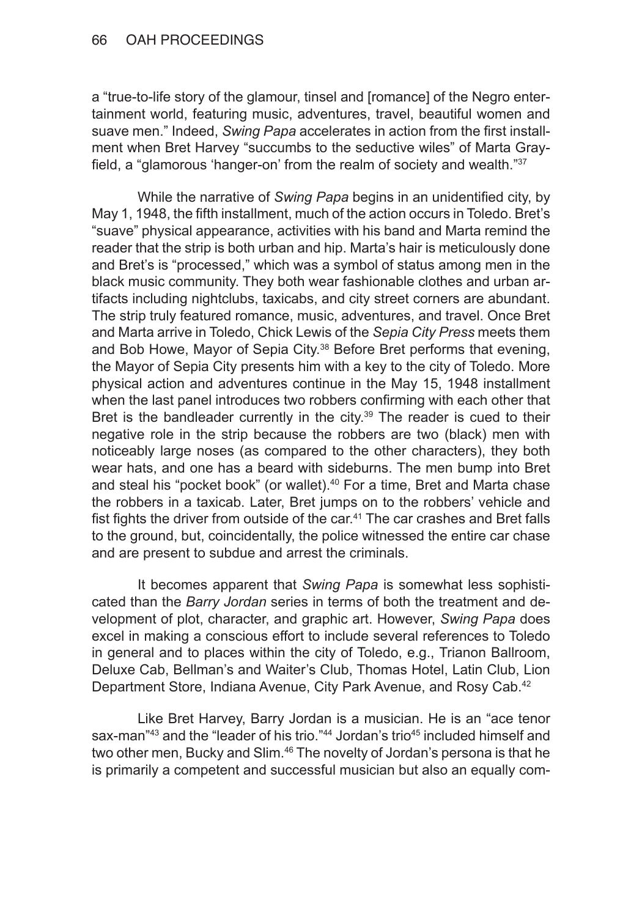a "true-to-life story of the glamour, tinsel and [romance] of the Negro entertainment world, featuring music, adventures, travel, beautiful women and suave men." Indeed, *Swing Papa* accelerates in action from the first installment when Bret Harvey "succumbs to the seductive wiles" of Marta Grayfield, a "glamorous 'hanger-on' from the realm of society and wealth."<sup>37</sup>

While the narrative of *Swing Papa* begins in an unidentified city, by May 1, 1948, the fifth installment, much of the action occurs in Toledo. Bret's "suave" physical appearance, activities with his band and Marta remind the reader that the strip is both urban and hip. Marta's hair is meticulously done and Bret's is "processed," which was a symbol of status among men in the black music community. They both wear fashionable clothes and urban artifacts including nightclubs, taxicabs, and city street corners are abundant. The strip truly featured romance, music, adventures, and travel. Once Bret and Marta arrive in Toledo, Chick Lewis of the *Sepia City Press* meets them and Bob Howe, Mayor of Sepia City.<sup>38</sup> Before Bret performs that evening, the Mayor of Sepia City presents him with a key to the city of Toledo. More physical action and adventures continue in the May 15, 1948 installment when the last panel introduces two robbers confirming with each other that Bret is the bandleader currently in the city. $39$  The reader is cued to their negative role in the strip because the robbers are two (black) men with noticeably large noses (as compared to the other characters), they both wear hats, and one has a beard with sideburns. The men bump into Bret and steal his "pocket book" (or wallet).<sup>40</sup> For a time, Bret and Marta chase the robbers in a taxicab. Later, Bret jumps on to the robbers' vehicle and fist fights the driver from outside of the car.<sup>41</sup> The car crashes and Bret falls to the ground, but, coincidentally, the police witnessed the entire car chase and are present to subdue and arrest the criminals.

It becomes apparent that *Swing Papa* is somewhat less sophisticated than the *Barry Jordan* series in terms of both the treatment and development of plot, character, and graphic art. However, *Swing Papa* does excel in making a conscious effort to include several references to Toledo in general and to places within the city of Toledo, e.g., Trianon Ballroom, Deluxe Cab, Bellman's and Waiter's Club, Thomas Hotel, Latin Club, Lion Department Store, Indiana Avenue, City Park Avenue, and Rosy Cab.<sup>42</sup>

Like Bret Harvey, Barry Jordan is a musician. He is an "ace tenor sax-man<sup>"43</sup> and the "leader of his trio."<sup>44</sup> Jordan's trio<sup>45</sup> included himself and two other men, Bucky and Slim.<sup>46</sup> The novelty of Jordan's persona is that he is primarily a competent and successful musician but also an equally com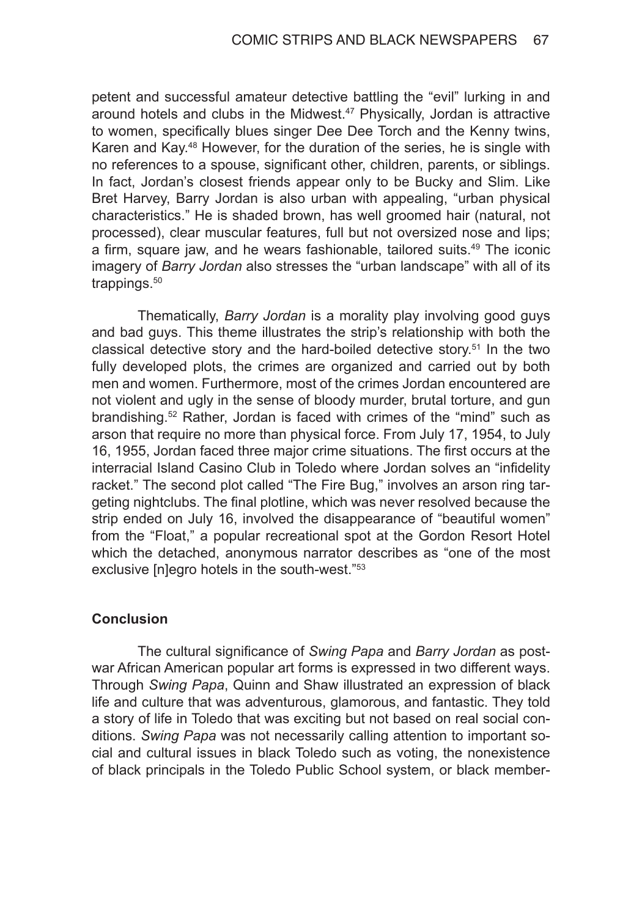petent and successful amateur detective battling the "evil" lurking in and around hotels and clubs in the Midwest.<sup>47</sup> Physically, Jordan is attractive to women, specifically blues singer Dee Dee Torch and the Kenny twins, Karen and Kay.48 However, for the duration of the series, he is single with no references to a spouse, significant other, children, parents, or siblings. In fact, Jordan's closest friends appear only to be Bucky and Slim. Like Bret Harvey, Barry Jordan is also urban with appealing, "urban physical characteristics." He is shaded brown, has well groomed hair (natural, not processed), clear muscular features, full but not oversized nose and lips; a firm, square jaw, and he wears fashionable, tailored suits.<sup>49</sup> The iconic imagery of *Barry Jordan* also stresses the "urban landscape" with all of its trappings.<sup>50</sup>

Thematically, *Barry Jordan* is a morality play involving good guys and bad guys. This theme illustrates the strip's relationship with both the classical detective story and the hard-boiled detective story.51 In the two fully developed plots, the crimes are organized and carried out by both men and women. Furthermore, most of the crimes Jordan encountered are not violent and ugly in the sense of bloody murder, brutal torture, and gun brandishing.52 Rather, Jordan is faced with crimes of the "mind" such as arson that require no more than physical force. From July 17, 1954, to July 16, 1955, Jordan faced three major crime situations. The first occurs at the interracial Island Casino Club in Toledo where Jordan solves an "infidelity racket." The second plot called "The Fire Bug," involves an arson ring targeting nightclubs. The final plotline, which was never resolved because the strip ended on July 16, involved the disappearance of "beautiful women" from the "Float," a popular recreational spot at the Gordon Resort Hotel which the detached, anonymous narrator describes as "one of the most exclusive [n]egro hotels in the south-west."<sup>53</sup>

### **Conclusion**

The cultural significance of *Swing Papa* and *Barry Jordan* as postwar African American popular art forms is expressed in two different ways. Through *Swing Papa*, Quinn and Shaw illustrated an expression of black life and culture that was adventurous, glamorous, and fantastic. They told a story of life in Toledo that was exciting but not based on real social conditions. *Swing Papa* was not necessarily calling attention to important social and cultural issues in black Toledo such as voting, the nonexistence of black principals in the Toledo Public School system, or black member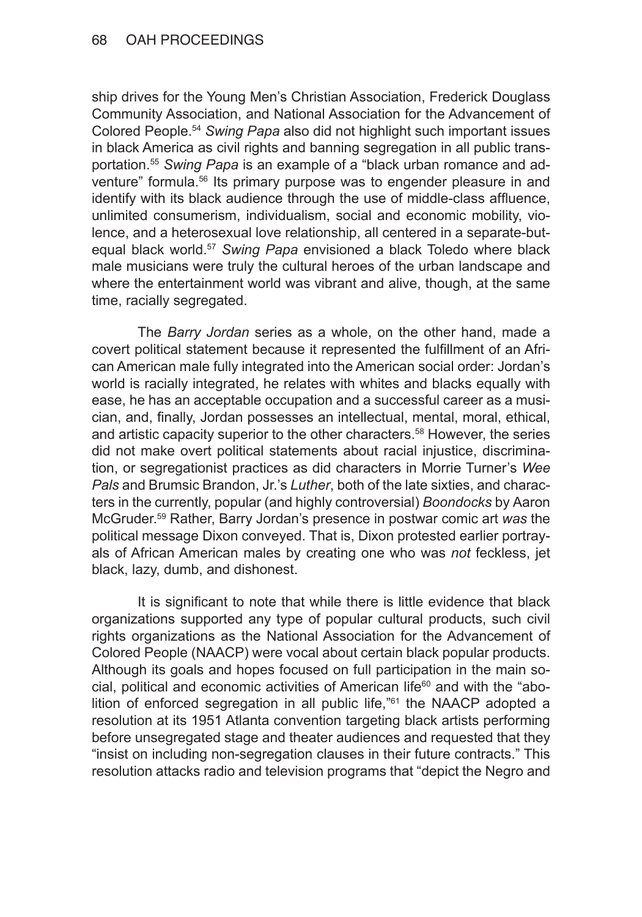ship drives for the Young Men's Christian Association, Frederick Douglass Community Association, and National Association for the Advancement of Colored People.<sup>54</sup> *Swing Papa* also did not highlight such important issues in black America as civil rights and banning segregation in all public transportation.<sup>55</sup> *Swing Papa* is an example of a "black urban romance and adventure" formula.<sup>56</sup> Its primary purpose was to engender pleasure in and identify with its black audience through the use of middle-class affluence, unlimited consumerism, individualism, social and economic mobility, violence, and a heterosexual love relationship, all centered in a separate-butequal black world.<sup>57</sup> *Swing Papa* envisioned a black Toledo where black male musicians were truly the cultural heroes of the urban landscape and where the entertainment world was vibrant and alive, though, at the same time, racially segregated.

The *Barry Jordan* series as a whole, on the other hand, made a covert political statement because it represented the fulfillment of an African American male fully integrated into the American social order: Jordan's world is racially integrated, he relates with whites and blacks equally with ease, he has an acceptable occupation and a successful career as a musician, and, finally, Jordan possesses an intellectual, mental, moral, ethical, and artistic capacity superior to the other characters.<sup>58</sup> However, the series did not make overt political statements about racial injustice, discrimination, or segregationist practices as did characters in Morrie Turner's *Wee Pals* and Brumsic Brandon, Jr.'s *Luther*, both of the late sixties, and characters in the currently, popular (and highly controversial) *Boondocks* by Aaron McGruder.59 Rather, Barry Jordan's presence in postwar comic art *was* the political message Dixon conveyed. That is, Dixon protested earlier portrayals of African American males by creating one who was *not* feckless, jet black, lazy, dumb, and dishonest.

It is significant to note that while there is little evidence that black organizations supported any type of popular cultural products, such civil rights organizations as the National Association for the Advancement of Colored People (NAACP) were vocal about certain black popular products. Although its goals and hopes focused on full participation in the main social, political and economic activities of American life $60$  and with the "abolition of enforced segregation in all public life,"<sup>61</sup> the NAACP adopted a resolution at its 1951 Atlanta convention targeting black artists performing before unsegregated stage and theater audiences and requested that they "insist on including non-segregation clauses in their future contracts." This resolution attacks radio and television programs that "depict the Negro and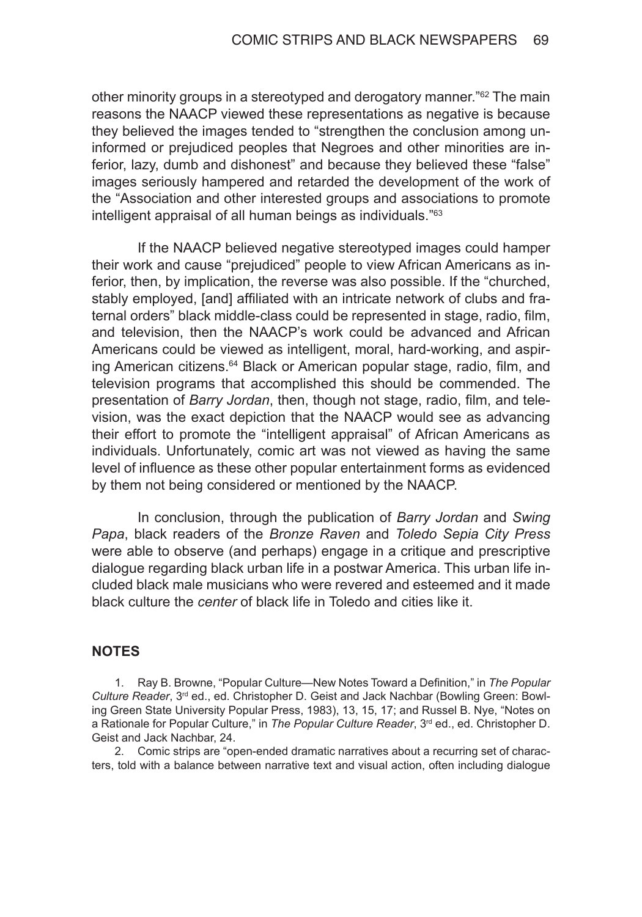other minority groups in a stereotyped and derogatory manner.<sup>"62</sup> The main reasons the NAACP viewed these representations as negative is because they believed the images tended to "strengthen the conclusion among uninformed or prejudiced peoples that Negroes and other minorities are inferior, lazy, dumb and dishonest" and because they believed these "false" images seriously hampered and retarded the development of the work of the "Association and other interested groups and associations to promote intelligent appraisal of all human beings as individuals."<sup>63</sup>

If the NAACP believed negative stereotyped images could hamper their work and cause "prejudiced" people to view African Americans as inferior, then, by implication, the reverse was also possible. If the "churched, stably employed, [and] affiliated with an intricate network of clubs and fraternal orders" black middle-class could be represented in stage, radio, film, and television, then the NAACP's work could be advanced and African Americans could be viewed as intelligent, moral, hard-working, and aspiring American citizens.<sup>64</sup> Black or American popular stage, radio, film, and television programs that accomplished this should be commended. The presentation of *Barry Jordan*, then, though not stage, radio, film, and television, was the exact depiction that the NAACP would see as advancing their effort to promote the "intelligent appraisal" of African Americans as individuals. Unfortunately, comic art was not viewed as having the same level of influence as these other popular entertainment forms as evidenced by them not being considered or mentioned by the NAACP.

In conclusion, through the publication of *Barry Jordan* and *Swing Papa*, black readers of the *Bronze Raven* and *Toledo Sepia City Press* were able to observe (and perhaps) engage in a critique and prescriptive dialogue regarding black urban life in a postwar America. This urban life included black male musicians who were revered and esteemed and it made black culture the *center* of black life in Toledo and cities like it.

### **NOTES**

1. Ray B. Browne, "Popular Culture—New Notes Toward a Definition," in *The Popular Culture Reader*, 3rd ed., ed. Christopher D. Geist and Jack Nachbar (Bowling Green: Bowling Green State University Popular Press, 1983), 13, 15, 17; and Russel B. Nye, "Notes on a Rationale for Popular Culture," in *The Popular Culture Reader*, 3<sup>rd</sup> ed., ed. Christopher D. Geist and Jack Nachbar, 24.

2. Comic strips are "open-ended dramatic narratives about a recurring set of characters, told with a balance between narrative text and visual action, often including dialogue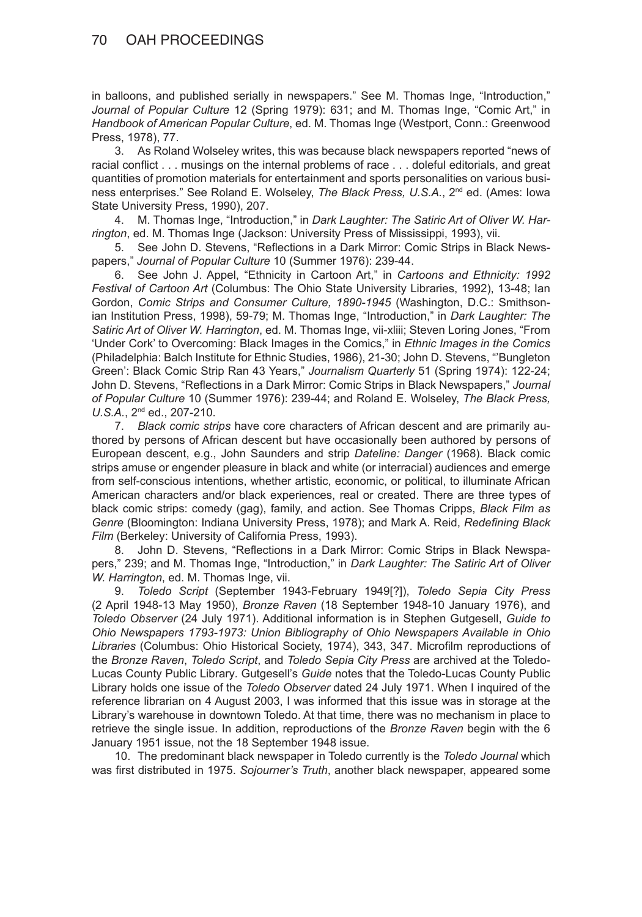in balloons, and published serially in newspapers." See M. Thomas Inge, "Introduction," *Journal of Popular Culture* 12 (Spring 1979): 631; and M. Thomas Inge, "Comic Art," in *Handbook of American Popular Culture*, ed. M. Thomas Inge (Westport, Conn.: Greenwood Press, 1978), 77.

3. As Roland Wolseley writes, this was because black newspapers reported "news of racial conflict . . . musings on the internal problems of race . . . doleful editorials, and great quantities of promotion materials for entertainment and sports personalities on various business enterprises." See Roland E. Wolseley, *The Black Press, U.S.A.*, 2<sup>nd</sup> ed. (Ames: Iowa State University Press, 1990), 207.

4. M. Thomas Inge, "Introduction," in *Dark Laughter: The Satiric Art of Oliver W. Harrington*, ed. M. Thomas Inge (Jackson: University Press of Mississippi, 1993), vii.

5. See John D. Stevens, "Reflections in a Dark Mirror: Comic Strips in Black Newspapers," *Journal of Popular Culture* 10 (Summer 1976): 239-44.

6. See John J. Appel, "Ethnicity in Cartoon Art," in *Cartoons and Ethnicity: 1992 Festival of Cartoon Art* (Columbus: The Ohio State University Libraries, 1992), 13-48; Ian Gordon, *Comic Strips and Consumer Culture, 1890-1945* (Washington, D.C.: Smithsonian Institution Press, 1998), 59-79; M. Thomas Inge, "Introduction," in *Dark Laughter: The Satiric Art of Oliver W. Harrington*, ed. M. Thomas Inge, vii-xliii; Steven Loring Jones, "From 'Under Cork' to Overcoming: Black Images in the Comics," in *Ethnic Images in the Comics* (Philadelphia: Balch Institute for Ethnic Studies, 1986), 21-30; John D. Stevens, "'Bungleton Green': Black Comic Strip Ran 43 Years," *Journalism Quarterly* 51 (Spring 1974): 122-24; John D. Stevens, "Reflections in a Dark Mirror: Comic Strips in Black Newspapers," *Journal of Popular Culture* 10 (Summer 1976): 239-44; and Roland E. Wolseley, *The Black Press, U.S.A.*, 2nd ed., 207-210.

7. *Black comic strips* have core characters of African descent and are primarily authored by persons of African descent but have occasionally been authored by persons of European descent, e.g., John Saunders and strip *Dateline: Danger* (1968). Black comic strips amuse or engender pleasure in black and white (or interracial) audiences and emerge from self-conscious intentions, whether artistic, economic, or political, to illuminate African American characters and/or black experiences, real or created. There are three types of black comic strips: comedy (gag), family, and action. See Thomas Cripps, *Black Film as Genre* (Bloomington: Indiana University Press, 1978); and Mark A. Reid, *Redefining Black Film* (Berkeley: University of California Press, 1993).

8. John D. Stevens, "Reflections in a Dark Mirror: Comic Strips in Black Newspapers," 239; and M. Thomas Inge, "Introduction," in *Dark Laughter: The Satiric Art of Oliver W. Harrington*, ed. M. Thomas Inge, vii.

9. *Toledo Script* (September 1943-February 1949[?]), *Toledo Sepia City Press* (2 April 1948-13 May 1950), *Bronze Raven* (18 September 1948-10 January 1976), and *Toledo Observer* (24 July 1971). Additional information is in Stephen Gutgesell, *Guide to Ohio Newspapers 1793-1973: Union Bibliography of Ohio Newspapers Available in Ohio Libraries* (Columbus: Ohio Historical Society, 1974), 343, 347. Microfilm reproductions of the *Bronze Raven*, *Toledo Script*, and *Toledo Sepia City Press* are archived at the Toledo-Lucas County Public Library*.* Gutgesell's *Guide* notes that the Toledo-Lucas County Public Library holds one issue of the *Toledo Observer* dated 24 July 1971. When I inquired of the reference librarian on 4 August 2003, I was informed that this issue was in storage at the Library's warehouse in downtown Toledo. At that time, there was no mechanism in place to retrieve the single issue. In addition, reproductions of the *Bronze Raven* begin with the 6 January 1951 issue, not the 18 September 1948 issue.

10. The predominant black newspaper in Toledo currently is the *Toledo Journal* which was first distributed in 1975. *Sojourner's Truth*, another black newspaper, appeared some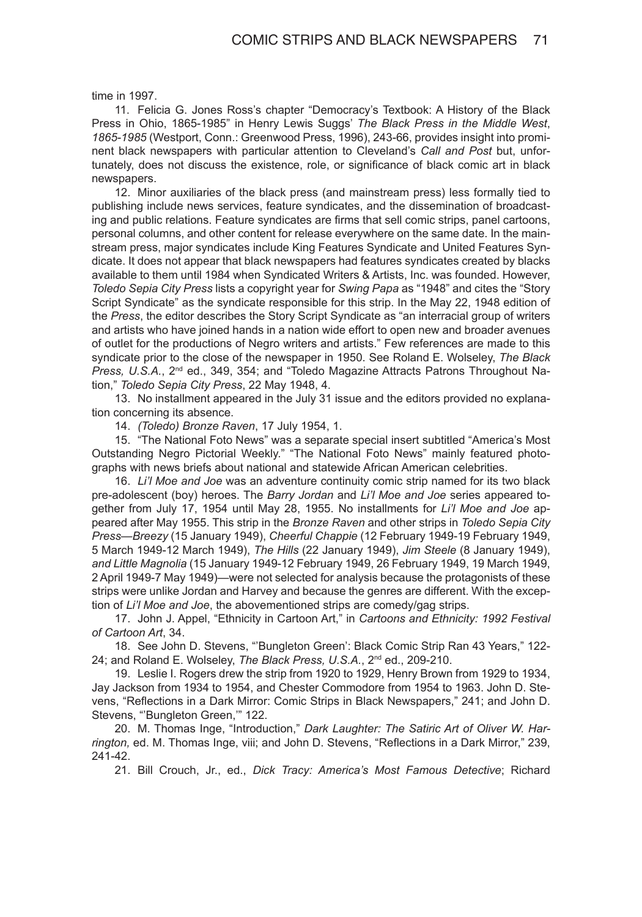time in 1997.

11. Felicia G. Jones Ross's chapter "Democracy's Textbook: A History of the Black Press in Ohio, 1865-1985" in Henry Lewis Suggs' *The Black Press in the Middle West*, *1865-1985* (Westport, Conn.: Greenwood Press, 1996), 243-66, provides insight into prominent black newspapers with particular attention to Cleveland's *Call and Post* but, unfortunately, does not discuss the existence, role, or significance of black comic art in black newspapers.

12. Minor auxiliaries of the black press (and mainstream press) less formally tied to publishing include news services, feature syndicates, and the dissemination of broadcasting and public relations. Feature syndicates are firms that sell comic strips, panel cartoons, personal columns, and other content for release everywhere on the same date. In the mainstream press, major syndicates include King Features Syndicate and United Features Syndicate. It does not appear that black newspapers had features syndicates created by blacks available to them until 1984 when Syndicated Writers & Artists, Inc. was founded. However, *Toledo Sepia City Press* lists a copyright year for *Swing Papa* as "1948" and cites the "Story Script Syndicate" as the syndicate responsible for this strip. In the May 22, 1948 edition of the *Press*, the editor describes the Story Script Syndicate as "an interracial group of writers and artists who have joined hands in a nation wide effort to open new and broader avenues of outlet for the productions of Negro writers and artists." Few references are made to this syndicate prior to the close of the newspaper in 1950. See Roland E. Wolseley, *The Black Press, U.S.A.*, 2<sup>nd</sup> ed., 349, 354; and "Toledo Magazine Attracts Patrons Throughout Nation," *Toledo Sepia City Press*, 22 May 1948, 4.

13. No installment appeared in the July 31 issue and the editors provided no explanation concerning its absence.

14. *(Toledo) Bronze Raven*, 17 July 1954, 1.

15. "The National Foto News" was a separate special insert subtitled "America's Most Outstanding Negro Pictorial Weekly." "The National Foto News" mainly featured photographs with news briefs about national and statewide African American celebrities.

16. *Li'l Moe and Joe* was an adventure continuity comic strip named for its two black pre-adolescent (boy) heroes. The *Barry Jordan* and *Li'l Moe and Joe* series appeared together from July 17, 1954 until May 28, 1955. No installments for *Li'l Moe and Joe* appeared after May 1955. This strip in the *Bronze Raven* and other strips in *Toledo Sepia City Press*—*Breezy* (15 January 1949), *Cheerful Chappie* (12 February 1949-19 February 1949, 5 March 1949-12 March 1949), *The Hills* (22 January 1949), *Jim Steele* (8 January 1949), *and Little Magnolia* (15 January 1949-12 February 1949, 26 February 1949, 19 March 1949, 2 April 1949-7 May 1949)—were not selected for analysis because the protagonists of these strips were unlike Jordan and Harvey and because the genres are different. With the exception of *Li'l Moe and Joe*, the abovementioned strips are comedy/gag strips.

17. John J. Appel, "Ethnicity in Cartoon Art," in *Cartoons and Ethnicity: 1992 Festival of Cartoon Art*, 34.

18. See John D. Stevens, "'Bungleton Green': Black Comic Strip Ran 43 Years," 122- 24; and Roland E. Wolseley, *The Black Press, U.S.A.*, 2nd ed., 209-210.

19. Leslie I. Rogers drew the strip from 1920 to 1929, Henry Brown from 1929 to 1934, Jay Jackson from 1934 to 1954, and Chester Commodore from 1954 to 1963. John D. Stevens, "Reflections in a Dark Mirror: Comic Strips in Black Newspapers," 241; and John D. Stevens, "'Bungleton Green,'" 122.

20. M. Thomas Inge, "Introduction," *Dark Laughter: The Satiric Art of Oliver W. Harrington,* ed. M. Thomas Inge, viii; and John D. Stevens, "Reflections in a Dark Mirror," 239, 241-42.

21. Bill Crouch, Jr., ed., *Dick Tracy: America's Most Famous Detective*; Richard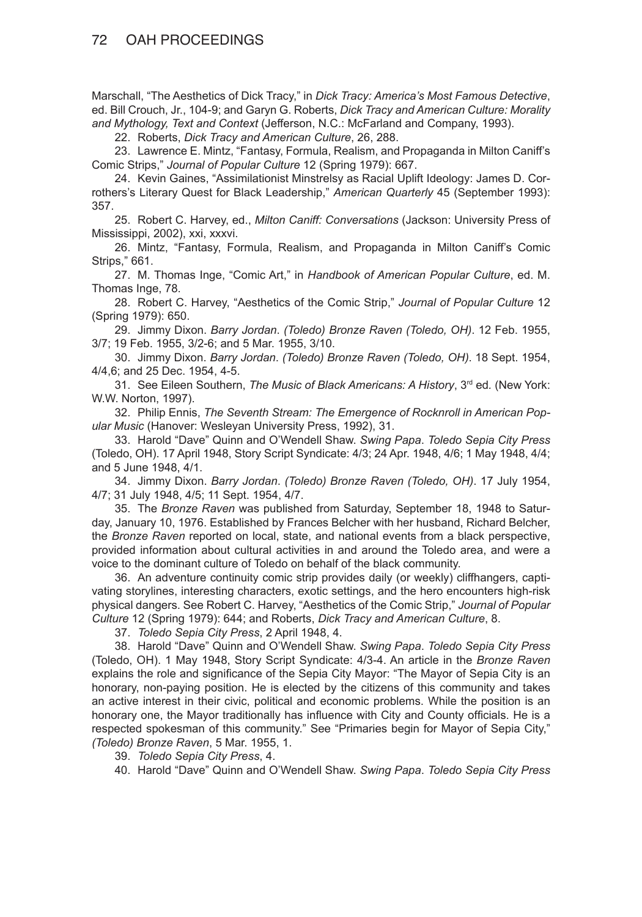Marschall, "The Aesthetics of Dick Tracy," in *Dick Tracy: America's Most Famous Detective*, ed. Bill Crouch, Jr., 104-9; and Garyn G. Roberts, *Dick Tracy and American Culture: Morality and Mythology, Text and Context* (Jefferson, N.C.: McFarland and Company, 1993).

22. Roberts, *Dick Tracy and American Culture*, 26, 288.

23. Lawrence E. Mintz, "Fantasy, Formula, Realism, and Propaganda in Milton Caniff's Comic Strips," *Journal of Popular Culture* 12 (Spring 1979): 667.

24. Kevin Gaines, "Assimilationist Minstrelsy as Racial Uplift Ideology: James D. Corrothers's Literary Quest for Black Leadership," *American Quarterly* 45 (September 1993): 357.

25. Robert C. Harvey, ed., *Milton Caniff: Conversations* (Jackson: University Press of Mississippi, 2002), xxi, xxxvi.

26. Mintz, "Fantasy, Formula, Realism, and Propaganda in Milton Caniff's Comic Strips," 661.

27. M. Thomas Inge, "Comic Art," in *Handbook of American Popular Culture*, ed. M. Thomas Inge, 78.

28. Robert C. Harvey, "Aesthetics of the Comic Strip," *Journal of Popular Culture* 12 (Spring 1979): 650.

29. Jimmy Dixon. *Barry Jordan*. *(Toledo) Bronze Raven (Toledo, OH)*. 12 Feb. 1955, 3/7; 19 Feb. 1955, 3/2-6; and 5 Mar. 1955, 3/10.

30. Jimmy Dixon. *Barry Jordan*. *(Toledo) Bronze Raven (Toledo, OH)*. 18 Sept. 1954, 4/4,6; and 25 Dec. 1954, 4-5.

31. See Eileen Southern, *The Music of Black Americans: A History*, 3rd ed*.* (New York: W.W. Norton, 1997).

32. Philip Ennis, *The Seventh Stream: The Emergence of Rocknroll in American Popular Music* (Hanover: Wesleyan University Press, 1992), 31.

33. Harold "Dave" Quinn and O'Wendell Shaw. *Swing Papa*. *Toledo Sepia City Press*  (Toledo, OH). 17 April 1948, Story Script Syndicate: 4/3; 24 Apr. 1948, 4/6; 1 May 1948, 4/4; and 5 June 1948, 4/1.

34. Jimmy Dixon. *Barry Jordan*. *(Toledo) Bronze Raven (Toledo, OH)*. 17 July 1954, 4/7; 31 July 1948, 4/5; 11 Sept. 1954, 4/7.

35. The *Bronze Raven* was published from Saturday, September 18, 1948 to Saturday, January 10, 1976. Established by Frances Belcher with her husband, Richard Belcher, the *Bronze Raven* reported on local, state, and national events from a black perspective, provided information about cultural activities in and around the Toledo area, and were a voice to the dominant culture of Toledo on behalf of the black community.

36. An adventure continuity comic strip provides daily (or weekly) cliffhangers, captivating storylines, interesting characters, exotic settings, and the hero encounters high-risk physical dangers. See Robert C. Harvey, "Aesthetics of the Comic Strip," *Journal of Popular Culture* 12 (Spring 1979): 644; and Roberts, *Dick Tracy and American Culture*, 8.

37. *Toledo Sepia City Press*, 2 April 1948, 4.

38. Harold "Dave" Quinn and O'Wendell Shaw. *Swing Papa*. *Toledo Sepia City Press*  (Toledo, OH). 1 May 1948, Story Script Syndicate: 4/3-4. An article in the *Bronze Raven* explains the role and significance of the Sepia City Mayor: "The Mayor of Sepia City is an honorary, non-paying position. He is elected by the citizens of this community and takes an active interest in their civic, political and economic problems. While the position is an honorary one, the Mayor traditionally has influence with City and County officials. He is a respected spokesman of this community." See "Primaries begin for Mayor of Sepia City," *(Toledo) Bronze Raven*, 5 Mar. 1955, 1.

39. *Toledo Sepia City Press*, 4.

40. Harold "Dave" Quinn and O'Wendell Shaw. *Swing Papa*. *Toledo Sepia City Press*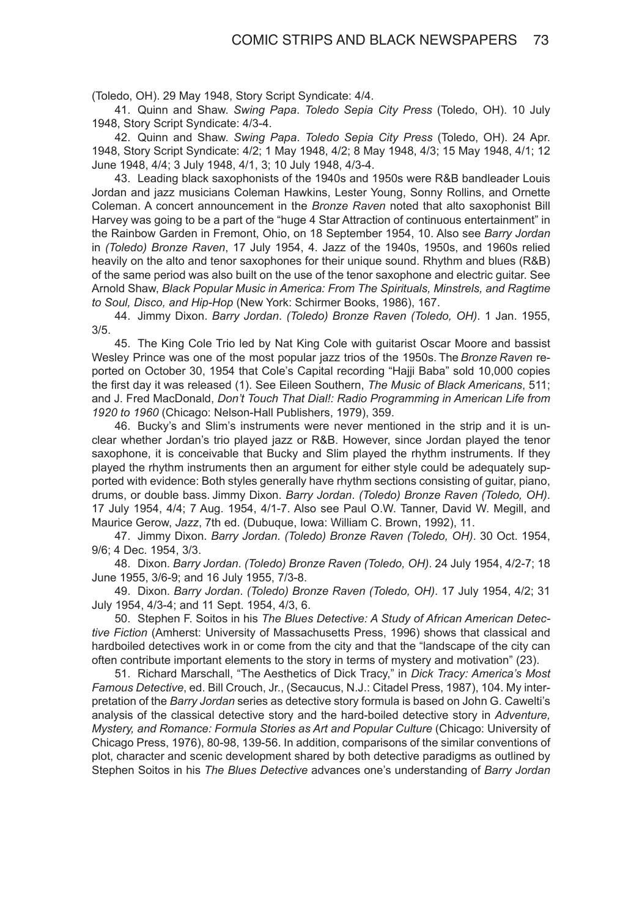(Toledo, OH). 29 May 1948, Story Script Syndicate: 4/4.

41. Quinn and Shaw. *Swing Papa*. *Toledo Sepia City Press* (Toledo, OH). 10 July 1948, Story Script Syndicate: 4/3-4.

42. Quinn and Shaw. *Swing Papa*. *Toledo Sepia City Press* (Toledo, OH). 24 Apr. 1948, Story Script Syndicate: 4/2; 1 May 1948, 4/2; 8 May 1948, 4/3; 15 May 1948, 4/1; 12 June 1948, 4/4; 3 July 1948, 4/1, 3; 10 July 1948, 4/3-4.

43. Leading black saxophonists of the 1940s and 1950s were R&B bandleader Louis Jordan and jazz musicians Coleman Hawkins, Lester Young, Sonny Rollins, and Ornette Coleman. A concert announcement in the *Bronze Raven* noted that alto saxophonist Bill Harvey was going to be a part of the "huge 4 Star Attraction of continuous entertainment" in the Rainbow Garden in Fremont, Ohio, on 18 September 1954, 10. Also see *Barry Jordan* in *(Toledo) Bronze Raven*, 17 July 1954, 4. Jazz of the 1940s, 1950s, and 1960s relied heavily on the alto and tenor saxophones for their unique sound. Rhythm and blues (R&B) of the same period was also built on the use of the tenor saxophone and electric guitar. See Arnold Shaw, *Black Popular Music in America: From The Spirituals, Minstrels, and Ragtime to Soul, Disco, and Hip-Hop* (New York: Schirmer Books, 1986), 167.

44. Jimmy Dixon. *Barry Jordan*. *(Toledo) Bronze Raven (Toledo, OH)*. 1 Jan. 1955, 3/5.

45. The King Cole Trio led by Nat King Cole with guitarist Oscar Moore and bassist Wesley Prince was one of the most popular jazz trios of the 1950s. The *Bronze Raven* reported on October 30, 1954 that Cole's Capital recording "Hajji Baba" sold 10,000 copies the first day it was released (1). See Eileen Southern, *The Music of Black Americans*, 511; and J. Fred MacDonald, *Don't Touch That Dial!: Radio Programming in American Life from 1920 to 1960* (Chicago: Nelson-Hall Publishers, 1979), 359.

46. Bucky's and Slim's instruments were never mentioned in the strip and it is unclear whether Jordan's trio played jazz or R&B. However, since Jordan played the tenor saxophone, it is conceivable that Bucky and Slim played the rhythm instruments. If they played the rhythm instruments then an argument for either style could be adequately supported with evidence: Both styles generally have rhythm sections consisting of guitar, piano, drums, or double bass. Jimmy Dixon. *Barry Jordan*. *(Toledo) Bronze Raven (Toledo, OH)*. 17 July 1954, 4/4; 7 Aug. 1954, 4/1-7. Also see Paul O.W. Tanner, David W. Megill, and Maurice Gerow, *Jazz*, 7th ed. (Dubuque, Iowa: William C. Brown, 1992), 11.

47. Jimmy Dixon. *Barry Jordan*. *(Toledo) Bronze Raven (Toledo, OH)*. 30 Oct. 1954, 9/6; 4 Dec. 1954, 3/3.

48. Dixon. *Barry Jordan*. *(Toledo) Bronze Raven (Toledo, OH)*. 24 July 1954, 4/2-7; 18 June 1955, 3/6-9; and 16 July 1955, 7/3-8.

49. Dixon. *Barry Jordan*. *(Toledo) Bronze Raven (Toledo, OH)*. 17 July 1954, 4/2; 31 July 1954, 4/3-4; and 11 Sept. 1954, 4/3, 6.

50. Stephen F. Soitos in his *The Blues Detective: A Study of African American Detective Fiction* (Amherst: University of Massachusetts Press, 1996) shows that classical and hardboiled detectives work in or come from the city and that the "landscape of the city can often contribute important elements to the story in terms of mystery and motivation" (23).

51. Richard Marschall, "The Aesthetics of Dick Tracy," in *Dick Tracy: America's Most Famous Detective*, ed. Bill Crouch, Jr., (Secaucus, N.J.: Citadel Press, 1987), 104. My interpretation of the *Barry Jordan* series as detective story formula is based on John G. Cawelti's analysis of the classical detective story and the hard-boiled detective story in *Adventure, Mystery, and Romance: Formula Stories as Art and Popular Culture* (Chicago: University of Chicago Press, 1976), 80-98, 139-56. In addition, comparisons of the similar conventions of plot, character and scenic development shared by both detective paradigms as outlined by Stephen Soitos in his *The Blues Detective* advances one's understanding of *Barry Jordan*